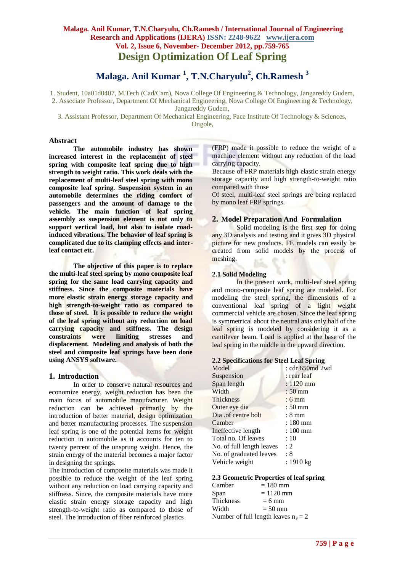**Malaga. Anil Kumar <sup>1</sup> , T.N.Charyulu<sup>2</sup> , Ch.Ramesh <sup>3</sup>**

1. Student, 10a01d0407, M.Tech (Cad/Cam), Nova College Of Engineering & Technology, Jangareddy Gudem,

2. Associate Professor, Department Of Mechanical Engineering, Nova College Of Engineering & Technology, Jangareddy Gudem,

3. Assistant Professor, Department Of Mechanical Engineering, Pace Institute Of Technology & Sciences, Ongole,

#### **Abstract**

**The automobile industry has shown increased interest in the replacement of steel spring with composite leaf spring due to high strength to weight ratio. This work deals with the replacement of multi-leaf steel spring with mono composite leaf spring. Suspension system in an automobile determines the riding comfort of passengers and the amount of damage to the vehicle. The main function of leaf spring assembly as suspension element is not only to support vertical load, but also to isolate roadinduced vibrations. The behavior of leaf spring is complicated due to its clamping effects and interleaf contact etc.**

**The objective of this paper is to replace the multi-leaf steel spring by mono composite leaf spring for the same load carrying capacity and stiffness. Since the composite materials have more elastic strain energy storage capacity and high strength-to-weight ratio as compared to those of steel. It is possible to reduce the weight of the leaf spring without any reduction on load carrying capacity and stiffness. The design constraints were limiting stresses and displacement. Modeling and analysis of both the steel and composite leaf springs have been done using ANSYS software.**

## **1. Introduction**

In order to conserve natural resources and economize energy, weight reduction has been the main focus of automobile manufacturer. Weight reduction can be achieved primarily by the introduction of better material, design optimization and better manufacturing processes. The suspension leaf spring is one of the potential items for weight reduction in automobile as it accounts for ten to twenty percent of the unsprung weight. Hence, the strain energy of the material becomes a major factor in designing the springs.

The introduction of composite materials was made it possible to reduce the weight of the leaf spring without any reduction on load carrying capacity and stiffness. Since, the composite materials have more elastic strain energy storage capacity and high strength-to-weight ratio as compared to those of steel. The introduction of fiber reinforced plastics

(FRP) made it possible to reduce the weight of a machine element without any reduction of the load carrying capacity.

Because of FRP materials high elastic strain energy storage capacity and high strength-to-weight ratio compared with those

Of steel, multi-leaf steel springs are being replaced by mono leaf FRP springs.

## **2. Model Preparation And Formulation**

Solid modeling is the first step for doing any 3D analysis and testing and it gives 3D physical picture for new products. FE models can easily be created from solid models by the process of meshing.

## **2.1 Solid Modeling**

In the present work, multi-leaf steel spring and mono-composite leaf spring are modeled. For modeling the steel spring, the dimensions of a conventional leaf spring of a light weight commercial vehicle are chosen. Since the leaf spring is symmetrical about the neutral axis only half of the leaf spring is modeled by considering it as a cantilever beam. Load is applied at the base of the leaf spring in the middle in the upward direction.

#### **2.2 Specifications for Steel Leaf Spring**

| : cdr 650md 2wd     |
|---------------------|
| : rear leaf         |
| $: 1120$ mm         |
| $:50 \,\mathrm{mm}$ |
| $:6 \text{ mm}$     |
| $:50 \,\mathrm{mm}$ |
| $: 8 \text{ mm}$    |
| : 180 mm            |
| : 100 mm            |
| :10                 |
| : 2                 |
| : 8                 |
| : 1910 kg           |
|                     |

## **2.3 Geometric Properties of leaf spring**

| Camber    | $= 180$ mm                             |
|-----------|----------------------------------------|
| Span      | $= 1120$ mm                            |
| Thickness | $= 6$ mm                               |
| Width     | $= 50$ mm                              |
|           | Number of full length leaves $n_F = 2$ |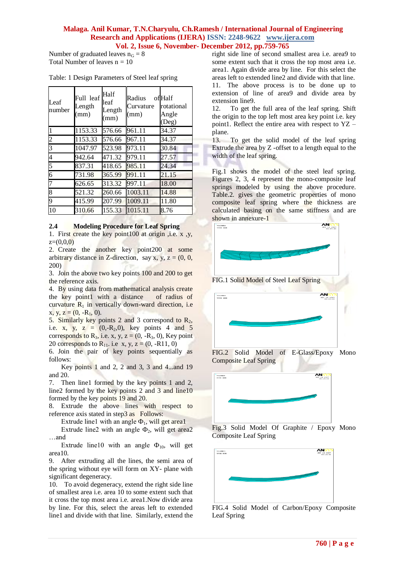Number of graduated leaves  $n_G = 8$ Total Number of leaves  $n = 10$ 

| Leaf<br>number | Full leaf<br>Length<br>(mm) | Half<br>leaf<br>Length<br>(mm) | Radius<br>Curvature<br>(mm) | ofHalf<br>rotational<br>Angle<br>(Deg) |
|----------------|-----------------------------|--------------------------------|-----------------------------|----------------------------------------|
|                | 1153.33                     | 576.66                         | 961.11                      | 34.37                                  |
| 2              | 1153.33                     | 576.66                         | 967.11                      | 34.37                                  |
| 3              | 1047.97                     | 523.98                         | 973.11                      | 30.84                                  |
| 4              | 942.64                      | 471.32                         | 979.11                      | 27.57                                  |
| 5              | 837.31                      | 418.65                         | 985.11                      | 24.34                                  |
| 6              | 731.98                      | 365.99                         | 991.11                      | 21.15                                  |
| 7              | 626.65                      | 313.32                         | 997.11                      | 18.00                                  |
| 8              | 521.32                      | 260.66                         | 1003.11                     | 14.88                                  |
| 9              | 415.99                      | 207.99                         | 1009.11                     | 11.80                                  |
| 10             | 310.66                      | 155.33                         | 1015.11                     | 8.76                                   |

#### **2.4 Modeling Procedure for Leaf Spring**

1. First create the key point100 at origin ,i.e. x ,y,  $z=(0.0,0)$ 

2. Create the another key point200 at some arbitrary distance in Z-direction, say x, y,  $z = (0, 0, 0)$ 200)

3. Join the above two key points 100 and 200 to get the reference axis.

4. By using data from mathematical analysis create the key point1 with a distance of radius of curvature  $R_1$  in vertically down-ward direction, i.e.  $x, y, z = (0, -R<sub>1</sub>, 0).$ 

5. Similarly key points 2 and 3 correspond to  $R_2$ , i.e. x, y, z =  $(0,-R_2,0)$ , key points 4 and 5 corresponds to  $R_3$ , i.e. x, y, z = (0, - $R_3$ , 0), Key point 20 corresponds to  $R_{11}$ , i.e x, y, z = (0, -R11, 0)

6. Join the pair of key points sequentially as follows:

Key points 1 and 2, 2 and 3, 3 and 4...and 19 and 20.

7. Then line1 formed by the key points 1 and 2, line2 formed by the key points 2 and 3 and line10 formed by the key points 19 and 20.

8. Extrude the above lines with respect to reference axis stated in step3 as Follows:

Extrude line1 with an angle  $\Phi_1$ , will get area1

Extrude line2 with an angle  $\Phi_2$ , will get area2 …and

Extrude line10 with an angle  $\Phi_{10}$ , will get area10.

9. After extruding all the lines, the semi area of the spring without eye will form on XY- plane with significant degeneracy.

10. To avoid degeneracy, extend the right side line of smallest area i.e. area 10 to some extent such that it cross the top most area i.e. area1.Now divide area by line. For this, select the areas left to extended line1 and divide with that line. Similarly, extend the right side line of second smallest area i.e. area9 to some extent such that it cross the top most area i.e. area1. Again divide area by line. For this select the areas left to extended line2 and divide with that line. 11. The above process is to be done up to extension of line of area9 and divide area by extension line9.

12. To get the full area of the leaf spring. Shift the origin to the top left most area key point i.e. key point1. Reflect the entire area with respect to YZ – plane.

13. To get the solid model of the leaf spring Extrude the area by Z -offset to a length equal to the width of the leaf spring.

Fig.1 shows the model of the steel leaf spring. Figures 2, 3, 4 represent the mono-composite leaf springs modeled by using the above procedure. Table.2. gives the geometric properties of mono composite leaf spring where the thickness are calculated basing on the same stiffness and are shown in annexure-1





Fig.3 Solid Model Of Graphite / Epoxy Mono Composite Leaf Spring



FIG.4 Solid Model of Carbon/Epoxy Composite Leaf Spring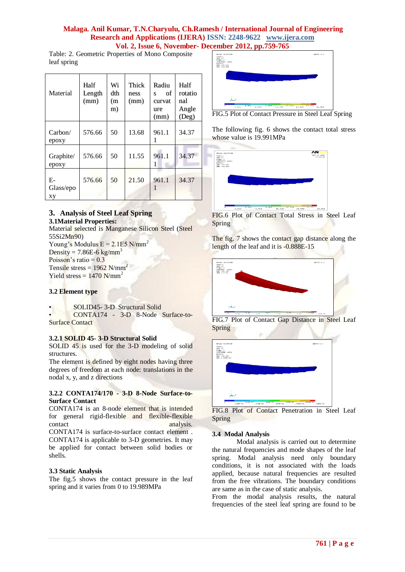Table: 2. Geometric Properties of Mono Composite leaf spring

| Material              | Half<br>Length<br>(mm) | Wi<br>dth<br>(m<br>m) | Thick<br>ness<br>(mm) | Radiu<br>οf<br>S<br>curvat<br>ure<br>(mm) | Half<br>rotatio<br>nal<br>Angle<br>(Deg) |
|-----------------------|------------------------|-----------------------|-----------------------|-------------------------------------------|------------------------------------------|
| Carbon/<br>epoxy      | 576.66                 | 50                    | 13.68                 | 961.1                                     | 34.37                                    |
| Graphite/<br>epoxy    | 576.66                 | 50                    | 11.55                 | 961.1<br>1                                | 34.37                                    |
| E-<br>Glass/epo<br>xу | 576.66                 | 50                    | 21.50                 | 961.1                                     | 34.37                                    |

# **3. Analysis of Steel Leaf Spring**

# **3.1Material Properties:**

Material selected is Manganese Silicon Steel (Steel 55Si2Mn90) Young's Modulus  $E = 2.1E5$  N/mm<sup>2</sup> Density =  $7.86E-6$  kg/mm<sup>3</sup> Poisson's ratio  $= 0.3$ Tensile stress =  $1962$  N/mm<sup>2</sup> Yield stress  $= 1470$  N/mm<sup>2</sup>

## **3.2 Element type**

• SOLID45- 3-D Structural Solid

• CONTA174 - 3-D 8-Node Surface-to-Surface Contact

## **3.2.1 SOLID 45- 3-D Structural Solid**

SOLID 45 is used for the 3-D modeling of solid structures.

The element is defined by eight nodes having three degrees of freedom at each node: translations in the nodal x, y, and z directions

#### **3.2.2 CONTA174/170 - 3-D 8-Node Surface-to-Surface Contact**

[CONTA174](mk:@MSITStore:C:\Program%20Files\Ansys%20Inc\v90\commonfiles\help\en-us\ansyshelp.chm::/Hlp_E_CONTA174.html) is an 8-node element that is intended for general rigid-flexible and flexible-flexible contact analysis.

CONTA174 is surface-to-surface contact element . [CONTA174](mk:@MSITStore:C:\Program%20Files\Ansys%20Inc\v90\commonfiles\help\en-us\ansyshelp.chm::/Hlp_E_CONTA174.html) is applicable to 3-D geometries. It may be applied for contact between solid bodies or shells.

## **3.3 Static Analysis**

The fig.5 shows the contact pressure in the leaf spring and it varies from 0 to 19.989MPa



FIG.5 Plot of Contact Pressure in Steel Leaf Spring

The following fig. 6 shows the contact total stress whose value is 19.991MPa



FIG.6 Plot of Contact Total Stress in Steel Leaf Spring

The fig. 7 shows the contact gap distance along the length of the leaf and it is -0.888E-15



FIG.7 Plot of Contact Gap Distance in Steel Leaf Spring



FIG.8 Plot of Contact Penetration in Steel Leaf Spring

## **3.4 Modal Analysis**

Modal analysis is carried out to determine the natural frequencies and mode shapes of the leaf spring. Modal analysis need only boundary conditions, it is not associated with the loads applied, because natural frequencies are resulted from the free vibrations. The boundary conditions are same as in the case of static analysis.

From the modal analysis results, the natural frequencies of the steel leaf spring are found to be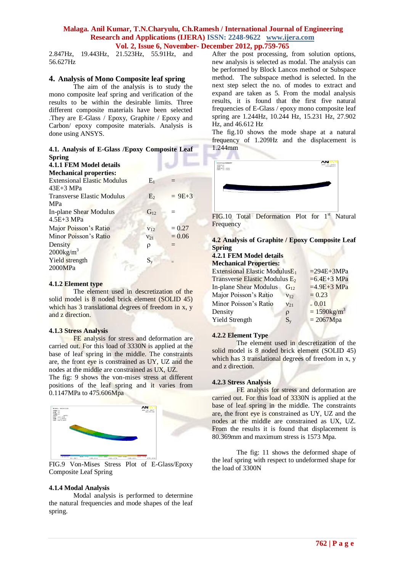2.847Hz, 19.443Hz, 21.523Hz, 55.91Hz, and 56.627Hz

### **4. Analysis of Mono Composite leaf spring**

The aim of the analysis is to study the mono composite leaf spring and verification of the results to be within the desirable limits. Three different composite materials have been selected .They are E-Glass / Epoxy, Graphite / Epoxy and Carbon/ epoxy composite materials. Analysis is done using ANSYS.

### **4.1. Analysis of E-Glass /Epoxy Composite Leaf Spring**

|  |                                                                                                                                                                                                                                      | 4.1.1 FEM Model details |  |
|--|--------------------------------------------------------------------------------------------------------------------------------------------------------------------------------------------------------------------------------------|-------------------------|--|
|  | <b>Monday Contract Contract Contract Contract Contract Contract Contract Contract Contract Contract Contract Contract Contract Contract Contract Contract Contract Contract Contract Contract Contract Contract Contract Contrac</b> |                         |  |

| $E_1$           |            |
|-----------------|------------|
|                 |            |
| E <sub>2</sub>  | $= 9E + 3$ |
|                 |            |
| $G_{12}$        |            |
|                 |            |
| V <sub>12</sub> | $= 0.27$   |
| $V_{21}$        | $= 0.06$   |
| ρ               | $=$        |
|                 |            |
| $\mathrm{S_v}$  |            |
|                 |            |
|                 |            |

#### **4.1.2 Element type**

The element used in descretization of the solid model is 8 noded brick element (SOLID 45) which has 3 translational degrees of freedom in x, y and z direction.

#### **4.1.3 Stress Analysis**

FE analysis for stress and deformation are carried out. For this load of 3330N is applied at the base of leaf spring in the middle. The constraints are, the front eye is constrained as UY, UZ and the nodes at the middle are constrained as UX, UZ.

The fig: 9 shows the von-mises stress at different positions of the leaf spring and it varies from 0.1147MPa to 475.606Mpa



FIG.9 Von-Mises Stress Plot of E-Glass/Epoxy Composite Leaf Spring

#### **4.1.4 Modal Analysis**

Modal analysis is performed to determine the natural frequencies and mode shapes of the leaf spring.

After the post processing, from solution options, new analysis is selected as modal. The analysis can be performed by Block Lancos method or Subspace method. The subspace method is selected. In the next step select the no. of modes to extract and expand are taken as 5. From the modal analysis results, it is found that the first five natural frequencies of E-Glass / epoxy mono composite leaf spring are 1.244Hz, 10.244 Hz, 15.231 Hz, 27.902 Hz, and 46.612 Hz

The fig.10 shows the mode shape at a natural frequency of 1.209Hz and the displacement is 1.244mm



FIG.10 Total Deformation Plot for  $1<sup>st</sup>$  Natural **Frequency** 

**4.2 Analysis of Graphite / Epoxy Composite Leaf Spring**

# **4.2.1 FEM Model details**

| <b>Mechanical Properties:</b>                    |                 |                            |
|--------------------------------------------------|-----------------|----------------------------|
| <b>Extensional Elastic ModulusE</b> <sub>1</sub> |                 | $=294E+3MPa$               |
| Transverse Elastic Modulus E <sub>2</sub>        |                 | $=6.4E+3 MPa$              |
| In-plane Shear Modulus                           | $G_{12}$        | $=4.9E+3 MPa$              |
| Major Poisson's Ratio                            | V <sub>12</sub> | $= 0.23$                   |
| Minor Poisson's Ratio                            | $V_{21}$        | $-0.01$                    |
| Density                                          | ρ               | $= 1590$ kg/m <sup>3</sup> |
| <b>Yield Strength</b>                            | $S_{v}$         | $= 2067$ Mpa               |
|                                                  |                 |                            |

#### **4.2.2 Element Type**

The element used in descretization of the solid model is 8 noded brick element (SOLID 45) which has 3 translational degrees of freedom in x, y and z direction.

#### **4.2.3 Stress Analysis**

FE analysis for stress and deformation are carried out. For this load of 3330N is applied at the base of leaf spring in the middle. The constraints are, the front eye is constrained as UY, UZ and the nodes at the middle are constrained as UX, UZ. From the results it is found that displacement is 80.369mm and maximum stress is 1573 Mpa.

The fig: 11 shows the deformed shape of the leaf spring with respect to undeformed shape for the load of 3300N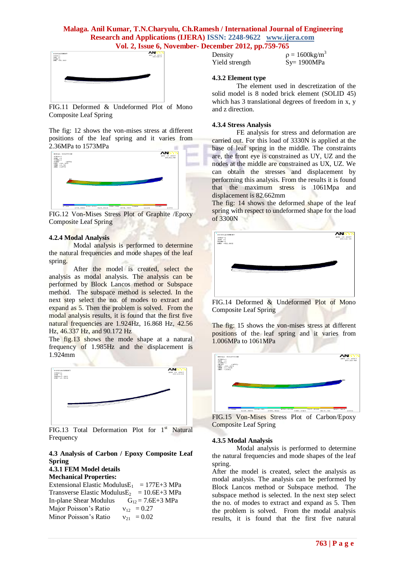

FIG.11 Deformed & Undeformed Plot of Mono Composite Leaf Spring

The fig: 12 shows the von-mises stress at different positions of the leaf spring and it varies from 2.36MPa to 1573MPa



FIG.12 Von-Mises Stress Plot of Graphite /Epoxy Composite Leaf Spring

#### **4.2.4 Modal Analysis**

Modal analysis is performed to determine the natural frequencies and mode shapes of the leaf spring.

After the model is created, select the analysis as modal analysis. The analysis can be performed by Block Lancos method or Subspace method. The subspace method is selected. In the next step select the no. of modes to extract and expand as 5. Then the problem is solved. From the modal analysis results, it is found that the first five natural frequencies are 1.924Hz, 16.868 Hz, 42.56 Hz, 46.337 Hz, and 90.172 Hz

The fig.13 shows the mode shape at a natural frequency of 1.985Hz and the displacement is 1.924mm



FIG.13 Total Deformation Plot for  $1<sup>st</sup>$  Natural Frequency

#### **4.3 Analysis of Carbon / Epoxy Composite Leaf Spring**

## **4.3.1 FEM Model details**

**Mechanical Properties:** Extensional Elastic Modulus $E_1$  = 177E+3 MPa Transverse Elastic Modulus $E_2$  = 10.6E+3 MPa In-plane Shear Modulus  $G_{12} = 7.6E + 3 MPa$ Major Poisson's Ratio  $v_{12} = 0.27$ Minor Poisson's Ratio  $v_{21} = 0.02$ 

| Density        | $p = 1600 \text{kg/m}^3$ |
|----------------|--------------------------|
| Yield strength | $Sy=1900MPa$             |

#### **4.3.2 Element type**

The element used in descretization of the solid model is 8 noded brick element (SOLID 45) which has 3 translational degrees of freedom in x, y and z direction.

#### **4.3.4 Stress Analysis**

FE analysis for stress and deformation are carried out. For this load of 3330N is applied at the base of leaf spring in the middle. The constraints are, the front eye is constrained as UY, UZ and the nodes at the middle are constrained as UX, UZ. We can obtain the stresses and displacement by performing this analysis. From the results it is found that the maximum stress is 1061Mpa and displacement is 82.662mm

The fig: 14 shows the deformed shape of the leaf spring with respect to undeformed shape for the load of 3300N s



FIG.14 Deformed & Undeformed Plot of Mono Composite Leaf Spring

The fig: 15 shows the von-mises stress at different positions of the leaf spring and it varies from 1.006MPa to 1061MPa



FIG.15 Von-Mises Stress Plot of Carbon/Epoxy Composite Leaf Spring

#### **4.3.5 Modal Analysis**

Modal analysis is performed to determine the natural frequencies and mode shapes of the leaf spring.

After the model is created, select the analysis as modal analysis. The analysis can be performed by Block Lancos method or Subspace method. The subspace method is selected. In the next step select the no. of modes to extract and expand as 5. Then the problem is solved. From the modal analysis results, it is found that the first five natural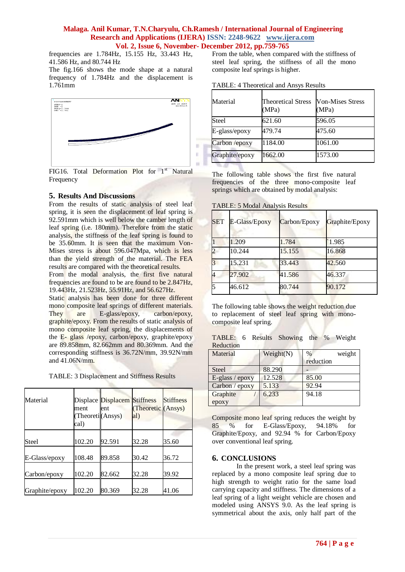frequencies are 1.784Hz, 15.155 Hz, 33.443 Hz, 41.586 Hz, and 80.744 Hz

The fig.166 shows the mode shape at a natural frequency of 1.784Hz and the displacement is 1.761mm



FIG16. Total Deformation Plot for  $1<sup>st</sup>$  Natural **Frequency** 

## **5. Results And Discussions**

From the results of static analysis of steel leaf spring, it is seen the displacement of leaf spring is 92.591mm which is well below the camber length of leaf spring (i.e. 180mm). Therefore from the static analysis, the stiffness of the leaf spring is found to be 35.60mm. It is seen that the maximum Von-Mises stress is about 596.047Mpa, which is less than the yield strength of the material. The FEA results are compared with the theoretical results.

From the modal analysis, the first five natural frequencies are found to be are found to be 2.847Hz, 19.443Hz, 21.523Hz, 55.91Hz, and 56.627Hz.

Static analysis has been done for three different mono composite leaf springs of different materials. They are E-glass/epoxy, carbon/epoxy, graphite/epoxy. From the results of static analysis of mono composite leaf spring, the displacements of the E- glass /epoxy, carbon/epoxy, graphite/epoxy are 89.858mm, 82.662mm and 80.369mm. And the corresponding stiffness is 36.72N/mm, 39.92N/mm and 41.06N/mm.

TABLE: 3 Displacement and Stiffness Results

| Material       | ment<br>(Theoreti (Ansys)<br>cal) | Displace Displacem Stiffness<br>ent | (Theoretic (Ansys)<br>al) | <b>Stiffness</b> |
|----------------|-----------------------------------|-------------------------------------|---------------------------|------------------|
| Steel          | 102.20                            | 92.591                              | 32.28                     | 35.60            |
| E-Glass/epoxy  | 108.48                            | 89.858                              | 30.42                     | 36.72            |
| Carbon/epoxy   | 102.20                            | 82.662                              | 32.28                     | 39.92            |
| Graphite/epoxy | 102.20                            | 80.369                              | 32.28                     | 41.06            |

From the table, when compared with the stiffness of steel leaf spring, the stiffness of all the mono composite leaf springs is higher.

| TABLE: 4 Theoretical and Ansys Results |  |  |
|----------------------------------------|--|--|
|----------------------------------------|--|--|

| Material        | <b>Theoretical Stress</b><br>(MPa) | <b>Von-Mises Stress</b><br>(MPa) |
|-----------------|------------------------------------|----------------------------------|
| Steel           | 621.60                             | 596.05                           |
| $E-glass/epoxy$ | 479.74                             | 475.60                           |
| Carbon /epoxy   | 1184.00                            | 1061.00                          |
| Graphite/epoxy  | 1662.00                            | 1573.00                          |

The following table shows the first five natural frequencies of the three mono-composite leaf springs which are obtained by modal analysis:

TABLE: 5 Modal Analysis Results

| <b>SET</b> | E-Glass/Epoxy | Carbon/Epoxy | Graphite/Epoxy |
|------------|---------------|--------------|----------------|
|            | 1.209         | 1.784        | 1.985          |
|            | 10.244        | 15.155       | 16.868         |
|            | 15.231        | 33.443       | 42.560         |
|            | 27.902        | 41.586       | 46.337         |
|            | 46.612        | 80.744       | 90.172         |

The following table shows the weight reduction due to replacement of steel leaf spring with monocomposite leaf spring.

TABLE: 6 Results Showing the % Weight Reduction

| Material        | Weight(N) | weight<br>$\%$ |  |  |
|-----------------|-----------|----------------|--|--|
|                 |           | reduction      |  |  |
| <b>Steel</b>    | 88.290    |                |  |  |
| E-glass / epoxy | 12.528    | 85.00          |  |  |
| Carbon / epoxy  | 5.133     | 92.94          |  |  |
| Graphite        | 6.233     | 94.18          |  |  |
| epoxy           |           |                |  |  |

Composite mono leaf spring reduces the weight by 85 % for E-Glass/Epoxy, 94.18% for Graphite/Epoxy, and 92.94 % for Carbon/Epoxy over conventional leaf spring.

## **6. CONCLUSIONS**

In the present work, a steel leaf spring was replaced by a mono composite leaf spring due to high strength to weight ratio for the same load carrying capacity and stiffness. The dimensions of a leaf spring of a light weight vehicle are chosen and modeled using ANSYS 9.0. As the leaf spring is symmetrical about the axis, only half part of the